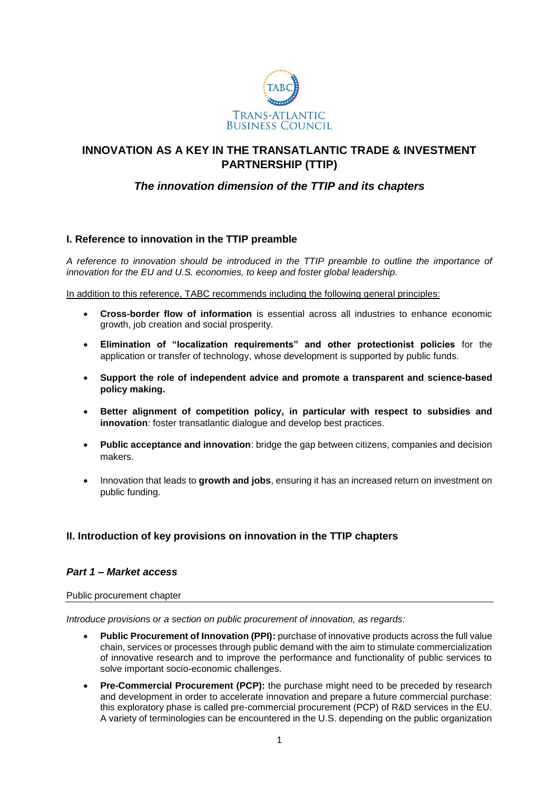

# **INNOVATION AS A KEY IN THE TRANSATLANTIC TRADE & INVESTMENT PARTNERSHIP (TTIP)**

# *The innovation dimension of the TTIP and its chapters*

## **I. Reference to innovation in the TTIP preamble**

*A reference to innovation should be introduced in the TTIP preamble to outline the importance of innovation for the EU and U.S. economies, to keep and foster global leadership.*

In addition to this reference, TABC recommends including the following general principles:

- **Cross-border flow of information** is essential across all industries to enhance economic growth, job creation and social prosperity.
- **Elimination of "localization requirements" and other protectionist policies** for the application or transfer of technology, whose development is supported by public funds.
- **Support the role of independent advice and promote a transparent and science-based policy making.**
- **Better alignment of competition policy, in particular with respect to subsidies and innovation**: foster transatlantic dialogue and develop best practices.
- **Public acceptance and innovation**: bridge the gap between citizens, companies and decision makers.
- Innovation that leads to **growth and jobs**, ensuring it has an increased return on investment on public funding.

# **II. Introduction of key provisions on innovation in the TTIP chapters**

## *Part 1 – Market access*

Public procurement chapter

*Introduce provisions or a section on public procurement of innovation, as regards:*

- **Public Procurement of Innovation (PPI):** purchase of innovative products across the full value chain, services or processes through public demand with the aim to stimulate commercialization of innovative research and to improve the performance and functionality of public services to solve important socio-economic challenges.
- **Pre-Commercial Procurement (PCP):** the purchase might need to be preceded by research and development in order to accelerate innovation and prepare a future commercial purchase: this exploratory phase is called pre-commercial procurement (PCP) of R&D services in the EU. A variety of terminologies can be encountered in the U.S. depending on the public organization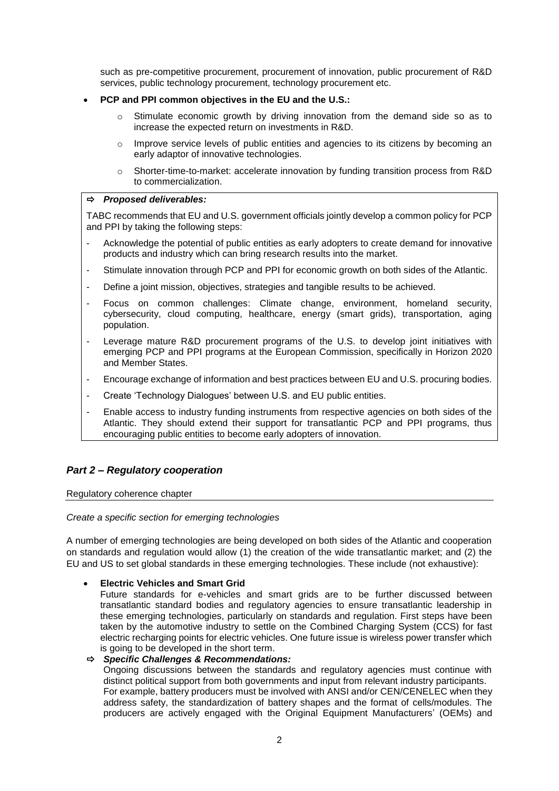such as pre-competitive procurement, procurement of innovation, public procurement of R&D services, public technology procurement, technology procurement etc.

#### **PCP and PPI common objectives in the EU and the U.S.:**

- $\circ$  Stimulate economic growth by driving innovation from the demand side so as to increase the expected return on investments in R&D.
- $\circ$  Improve service levels of public entities and agencies to its citizens by becoming an early adaptor of innovative technologies.
- o Shorter-time-to-market: accelerate innovation by funding transition process from R&D to commercialization.

#### *Proposed deliverables:*

TABC recommends that EU and U.S. government officials jointly develop a common policy for PCP and PPI by taking the following steps:

- Acknowledge the potential of public entities as early adopters to create demand for innovative products and industry which can bring research results into the market.
- Stimulate innovation through PCP and PPI for economic growth on both sides of the Atlantic.
- Define a joint mission, objectives, strategies and tangible results to be achieved.
- Focus on common challenges: Climate change, environment, homeland security, cybersecurity, cloud computing, healthcare, energy (smart grids), transportation, aging population.
- Leverage mature R&D procurement programs of the U.S. to develop joint initiatives with emerging PCP and PPI programs at the European Commission, specifically in Horizon 2020 and Member States.
- Encourage exchange of information and best practices between EU and U.S. procuring bodies.
- Create 'Technology Dialogues' between U.S. and EU public entities.
- Enable access to industry funding instruments from respective agencies on both sides of the Atlantic. They should extend their support for transatlantic PCP and PPI programs, thus encouraging public entities to become early adopters of innovation.

## *Part 2 – Regulatory cooperation*

Regulatory coherence chapter

#### *Create a specific section for emerging technologies*

A number of emerging technologies are being developed on both sides of the Atlantic and cooperation on standards and regulation would allow (1) the creation of the wide transatlantic market; and (2) the EU and US to set global standards in these emerging technologies. These include (not exhaustive):

## **Electric Vehicles and Smart Grid**

Future standards for e-vehicles and smart grids are to be further discussed between transatlantic standard bodies and regulatory agencies to ensure transatlantic leadership in these emerging technologies, particularly on standards and regulation. First steps have been taken by the automotive industry to settle on the Combined Charging System (CCS) for fast electric recharging points for electric vehicles. One future issue is wireless power transfer which is going to be developed in the short term.

#### *Specific Challenges & Recommendations:*

Ongoing discussions between the standards and regulatory agencies must continue with distinct political support from both governments and input from relevant industry participants. For example, battery producers must be involved with ANSI and/or CEN/CENELEC when they address safety, the standardization of battery shapes and the format of cells/modules. The producers are actively engaged with the Original Equipment Manufacturers' (OEMs) and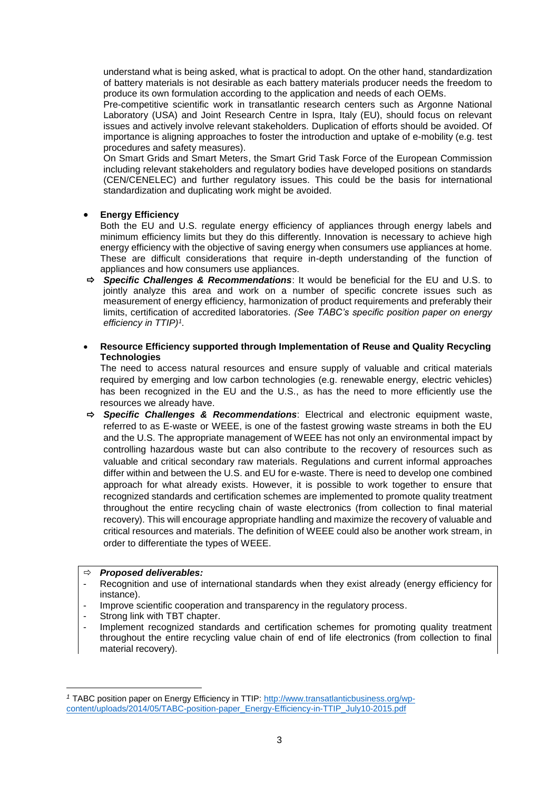understand what is being asked, what is practical to adopt. On the other hand, standardization of battery materials is not desirable as each battery materials producer needs the freedom to produce its own formulation according to the application and needs of each OEMs.

Pre-competitive scientific work in transatlantic research centers such as Argonne National Laboratory (USA) and Joint Research Centre in Ispra, Italy (EU), should focus on relevant issues and actively involve relevant stakeholders. Duplication of efforts should be avoided. Of importance is aligning approaches to foster the introduction and uptake of e-mobility (e.g. test procedures and safety measures).

On Smart Grids and Smart Meters, the Smart Grid Task Force of the European Commission including relevant stakeholders and regulatory bodies have developed positions on standards (CEN/CENELEC) and further regulatory issues. This could be the basis for international standardization and duplicating work might be avoided.

## **Energy Efficiency**

Both the EU and U.S. regulate energy efficiency of appliances through energy labels and minimum efficiency limits but they do this differently. Innovation is necessary to achieve high energy efficiency with the objective of saving energy when consumers use appliances at home. These are difficult considerations that require in-depth understanding of the function of appliances and how consumers use appliances.

 *Specific Challenges & Recommendations*: It would be beneficial for the EU and U.S. to jointly analyze this area and work on a number of specific concrete issues such as measurement of energy efficiency, harmonization of product requirements and preferably their limits, certification of accredited laboratories. *(See TABC's specific position paper on energy efficiency in TTIP)<sup>1</sup> .*

## **Resource Efficiency supported through Implementation of Reuse and Quality Recycling Technologies**

The need to access natural resources and ensure supply of valuable and critical materials required by emerging and low carbon technologies (e.g. renewable energy, electric vehicles) has been recognized in the EU and the U.S., as has the need to more efficiently use the resources we already have.

 *Specific Challenges & Recommendations*: Electrical and electronic equipment waste, referred to as E-waste or WEEE, is one of the fastest growing waste streams in both the EU and the U.S. The appropriate management of WEEE has not only an environmental impact by controlling hazardous waste but can also contribute to the recovery of resources such as valuable and critical secondary raw materials. Regulations and current informal approaches differ within and between the U.S. and EU for e-waste. There is need to develop one combined approach for what already exists. However, it is possible to work together to ensure that recognized standards and certification schemes are implemented to promote quality treatment throughout the entire recycling chain of waste electronics (from collection to final material recovery). This will encourage appropriate handling and maximize the recovery of valuable and critical resources and materials. The definition of WEEE could also be another work stream, in order to differentiate the types of WEEE.

## *Proposed deliverables:*

- Recognition and use of international standards when they exist already (energy efficiency for instance).
- Improve scientific cooperation and transparency in the regulatory process.
- Strong link with TBT chapter.

**.** 

- Implement recognized standards and certification schemes for promoting quality treatment throughout the entire recycling value chain of end of life electronics (from collection to final material recovery).

*<sup>1</sup>* TABC position paper on Energy Efficiency in TTIP: [http://www.transatlanticbusiness.org/wp](http://www.transatlanticbusiness.org/wp-content/uploads/2014/05/TABC-position-paper_Energy-Efficiency-in-TTIP_July10-2015.pdf)[content/uploads/2014/05/TABC-position-paper\\_Energy-Efficiency-in-TTIP\\_July10-2015.pdf](http://www.transatlanticbusiness.org/wp-content/uploads/2014/05/TABC-position-paper_Energy-Efficiency-in-TTIP_July10-2015.pdf)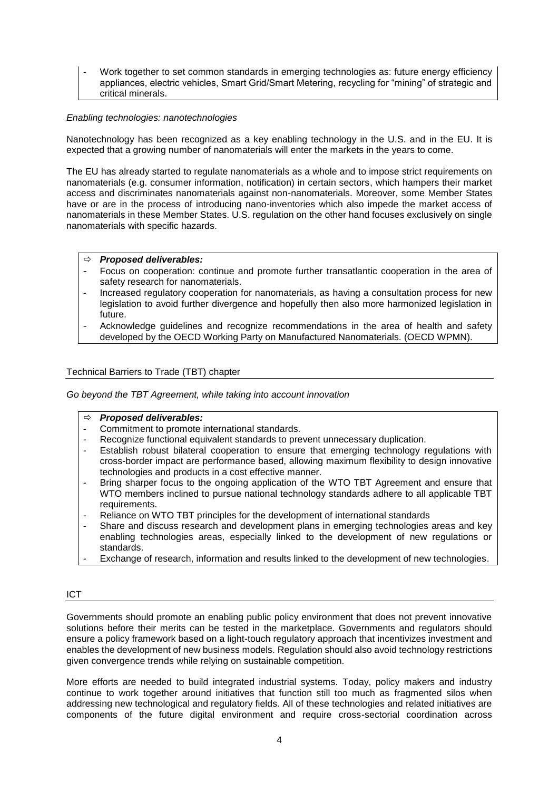Work together to set common standards in emerging technologies as: future energy efficiency appliances, electric vehicles, Smart Grid/Smart Metering, recycling for "mining" of strategic and critical minerals.

## *Enabling technologies: nanotechnologies*

Nanotechnology has been recognized as a key enabling technology in the U.S. and in the EU. It is expected that a growing number of nanomaterials will enter the markets in the years to come.

The EU has already started to regulate nanomaterials as a whole and to impose strict requirements on nanomaterials (e.g. consumer information, notification) in certain sectors, which hampers their market access and discriminates nanomaterials against non-nanomaterials. Moreover, some Member States have or are in the process of introducing nano-inventories which also impede the market access of nanomaterials in these Member States. U.S. regulation on the other hand focuses exclusively on single nanomaterials with specific hazards.

#### *Proposed deliverables:*

- Focus on cooperation: continue and promote further transatlantic cooperation in the area of safety research for nanomaterials.
- Increased regulatory cooperation for nanomaterials, as having a consultation process for new legislation to avoid further divergence and hopefully then also more harmonized legislation in future.
- Acknowledge guidelines and recognize recommendations in the area of health and safety developed by the OECD Working Party on Manufactured Nanomaterials. (OECD WPMN).

## Technical Barriers to Trade (TBT) chapter

*Go beyond the TBT Agreement, while taking into account innovation*

#### *Proposed deliverables:*

- Commitment to promote international standards.
- Recognize functional equivalent standards to prevent unnecessary duplication.
- Establish robust bilateral cooperation to ensure that emerging technology regulations with cross-border impact are performance based, allowing maximum flexibility to design innovative technologies and products in a cost effective manner.
- Bring sharper focus to the ongoing application of the WTO TBT Agreement and ensure that WTO members inclined to pursue national technology standards adhere to all applicable TBT requirements.
- Reliance on WTO TBT principles for the development of international standards
- Share and discuss research and development plans in emerging technologies areas and key enabling technologies areas, especially linked to the development of new regulations or standards.
- Exchange of research, information and results linked to the development of new technologies.

#### ICT

Governments should promote an enabling public policy environment that does not prevent innovative solutions before their merits can be tested in the marketplace. Governments and regulators should ensure a policy framework based on a light-touch regulatory approach that incentivizes investment and enables the development of new business models. Regulation should also avoid technology restrictions given convergence trends while relying on sustainable competition.

More efforts are needed to build integrated industrial systems. Today, policy makers and industry continue to work together around initiatives that function still too much as fragmented silos when addressing new technological and regulatory fields. All of these technologies and related initiatives are components of the future digital environment and require cross-sectorial coordination across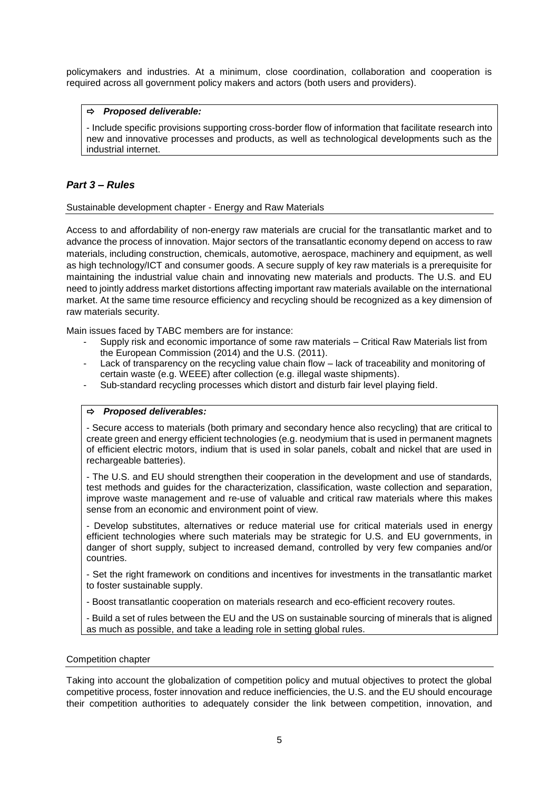policymakers and industries. At a minimum, close coordination, collaboration and cooperation is required across all government policy makers and actors (both users and providers).

## *Proposed deliverable:*

- Include specific provisions supporting cross-border flow of information that facilitate research into new and innovative processes and products, as well as technological developments such as the industrial internet.

## *Part 3 – Rules*

#### Sustainable development chapter - Energy and Raw Materials

Access to and affordability of non-energy raw materials are crucial for the transatlantic market and to advance the process of innovation. Major sectors of the transatlantic economy depend on access to raw materials, including construction, chemicals, automotive, aerospace, machinery and equipment, as well as high technology/ICT and consumer goods. A secure supply of key raw materials is a prerequisite for maintaining the industrial value chain and innovating new materials and products. The U.S. and EU need to jointly address market distortions affecting important raw materials available on the international market. At the same time resource efficiency and recycling should be recognized as a key dimension of raw materials security.

Main issues faced by TABC members are for instance:

- Supply risk and economic importance of some raw materials Critical Raw Materials list from the European Commission (2014) and the U.S. (2011).
- Lack of transparency on the recycling value chain flow lack of traceability and monitoring of certain waste (e.g. WEEE) after collection (e.g. illegal waste shipments).
- Sub-standard recycling processes which distort and disturb fair level playing field.

#### *Proposed deliverables:*

- Secure access to materials (both primary and secondary hence also recycling) that are critical to create green and energy efficient technologies (e.g. neodymium that is used in permanent magnets of efficient electric motors, indium that is used in solar panels, cobalt and nickel that are used in rechargeable batteries).

- The U.S. and EU should strengthen their cooperation in the development and use of standards, test methods and guides for the characterization, classification, waste collection and separation, improve waste management and re-use of valuable and critical raw materials where this makes sense from an economic and environment point of view.

- Develop substitutes, alternatives or reduce material use for critical materials used in energy efficient technologies where such materials may be strategic for U.S. and EU governments, in danger of short supply, subject to increased demand, controlled by very few companies and/or countries.

- Set the right framework on conditions and incentives for investments in the transatlantic market to foster sustainable supply.

- Boost transatlantic cooperation on materials research and eco-efficient recovery routes.

- Build a set of rules between the EU and the US on sustainable sourcing of minerals that is aligned as much as possible, and take a leading role in setting global rules.

#### Competition chapter

Taking into account the globalization of competition policy and mutual objectives to protect the global competitive process, foster innovation and reduce inefficiencies, the U.S. and the EU should encourage their competition authorities to adequately consider the link between competition, innovation, and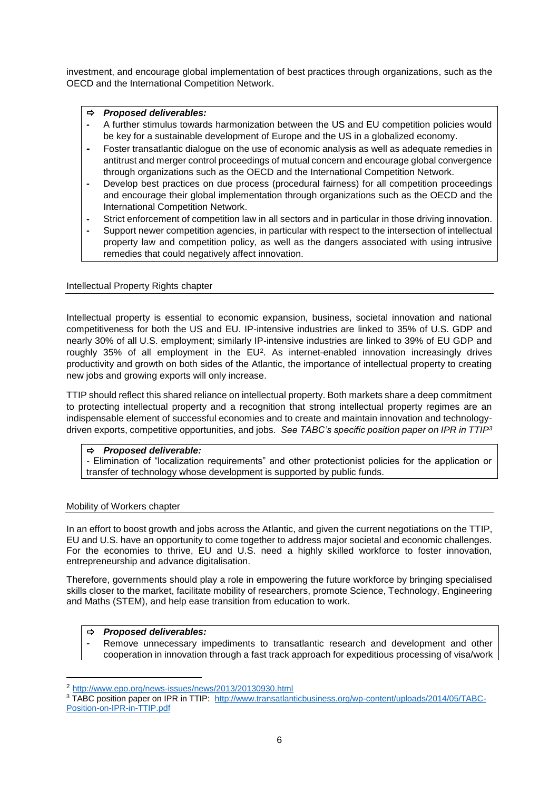investment, and encourage global implementation of best practices through organizations, such as the OECD and the International Competition Network.

## *Proposed deliverables:*

- **-** A further stimulus towards harmonization between the US and EU competition policies would be key for a sustainable development of Europe and the US in a globalized economy.
- **-** Foster transatlantic dialogue on the use of economic analysis as well as adequate remedies in antitrust and merger control proceedings of mutual concern and encourage global convergence through organizations such as the OECD and the International Competition Network.
- **-** Develop best practices on due process (procedural fairness) for all competition proceedings and encourage their global implementation through organizations such as the OECD and the International Competition Network.
- **-** Strict enforcement of competition law in all sectors and in particular in those driving innovation.
- **-** Support newer competition agencies, in particular with respect to the intersection of intellectual property law and competition policy, as well as the dangers associated with using intrusive remedies that could negatively affect innovation.

## Intellectual Property Rights chapter

Intellectual property is essential to economic expansion, business, societal innovation and national competitiveness for both the US and EU. IP-intensive industries are linked to 35% of U.S. GDP and nearly 30% of all U.S. employment; similarly IP-intensive industries are linked to 39% of EU GDP and roughly 35% of all employment in the EU<sup>2</sup>. As internet-enabled innovation increasingly drives productivity and growth on both sides of the Atlantic, the importance of intellectual property to creating new jobs and growing exports will only increase.

TTIP should reflect this shared reliance on intellectual property. Both markets share a deep commitment to protecting intellectual property and a recognition that strong intellectual property regimes are an indispensable element of successful economies and to create and maintain innovation and technologydriven exports, competitive opportunities, and jobs. *See TABC's specific position paper on IPR in TTIP<sup>3</sup>*

## *Proposed deliverable:*

*-* Elimination of "localization requirements" and other protectionist policies for the application or transfer of technology whose development is supported by public funds.

## Mobility of Workers chapter

In an effort to boost growth and jobs across the Atlantic, and given the current negotiations on the TTIP, EU and U.S. have an opportunity to come together to address major societal and economic challenges. For the economies to thrive, EU and U.S. need a highly skilled workforce to foster innovation, entrepreneurship and advance digitalisation.

Therefore, governments should play a role in empowering the future workforce by bringing specialised skills closer to the market, facilitate mobility of researchers, promote Science, Technology, Engineering and Maths (STEM), and help ease transition from education to work.

## *Proposed deliverables:*

**.** 

Remove unnecessary impediments to transatlantic research and development and other cooperation in innovation through a fast track approach for expeditious processing of visa/work

<sup>2</sup> <http://www.epo.org/news-issues/news/2013/20130930.html>

<sup>&</sup>lt;sup>3</sup> TABC position paper on IPR in TTIP: [http://www.transatlanticbusiness.org/wp-content/uploads/2014/05/TABC-](http://www.transatlanticbusiness.org/wp-content/uploads/2014/05/TABC-Position-on-IPR-in-TTIP.pdf)[Position-on-IPR-in-TTIP.pdf](http://www.transatlanticbusiness.org/wp-content/uploads/2014/05/TABC-Position-on-IPR-in-TTIP.pdf)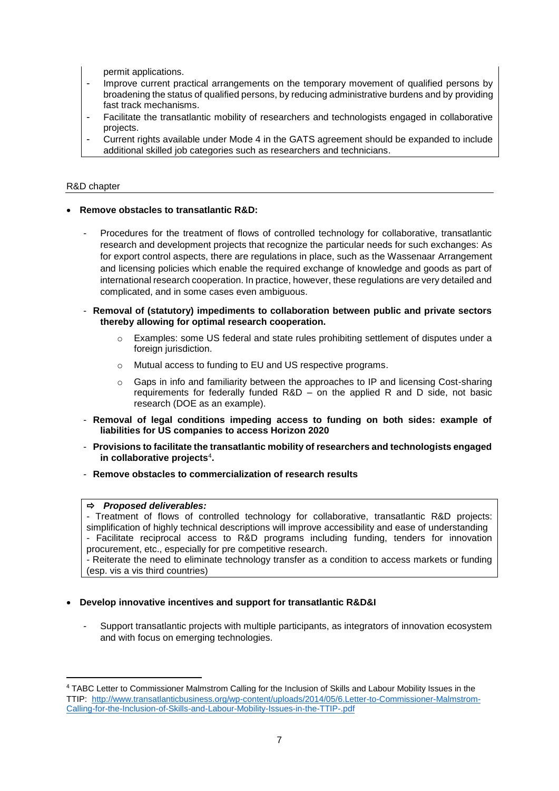permit applications.

- Improve current practical arrangements on the temporary movement of qualified persons by broadening the status of qualified persons, by reducing administrative burdens and by providing fast track mechanisms.
- Facilitate the transatlantic mobility of researchers and technologists engaged in collaborative projects.
- Current rights available under Mode 4 in the GATS agreement should be expanded to include additional skilled job categories such as researchers and technicians.

#### R&D chapter

#### **Remove obstacles to transatlantic R&D:**

- Procedures for the treatment of flows of controlled technology for collaborative, transatlantic research and development projects that recognize the particular needs for such exchanges: As for export control aspects, there are regulations in place, such as the Wassenaar Arrangement and licensing policies which enable the required exchange of knowledge and goods as part of international research cooperation. In practice, however, these regulations are very detailed and complicated, and in some cases even ambiguous.
- **Removal of (statutory) impediments to collaboration between public and private sectors thereby allowing for optimal research cooperation.** 
	- o Examples: some US federal and state rules prohibiting settlement of disputes under a foreign jurisdiction.
	- o Mutual access to funding to EU and US respective programs.
	- $\circ$  Gaps in info and familiarity between the approaches to IP and licensing Cost-sharing requirements for federally funded R&D – on the applied R and D side, not basic research (DOE as an example).
- **Removal of legal conditions impeding access to funding on both sides: example of liabilities for US companies to access Horizon 2020**
- **Provisions to facilitate the transatlantic mobility of researchers and technologists engaged in collaborative projects**<sup>4</sup> **.**
- **Remove obstacles to commercialization of research results**

#### *Proposed deliverables:*

**.** 

*-* Treatment of flows of controlled technology for collaborative, transatlantic R&D projects: simplification of highly technical descriptions will improve accessibility and ease of understanding *-* Facilitate reciprocal access to R&D programs including funding, tenders for innovation procurement, etc., especially for pre competitive research.

*-* Reiterate the need to eliminate technology transfer as a condition to access markets or funding (esp. vis a vis third countries)

#### **Develop innovative incentives and support for transatlantic R&D&I**

Support transatlantic projects with multiple participants, as integrators of innovation ecosystem and with focus on emerging technologies.

<sup>4</sup> TABC [Letter to Commissioner Malmstrom Calling for the Inclusion of Skills and Labour Mobility Issues in the](http://www.transatlanticbusiness.org/wp-content/uploads/2014/05/6.Letter-to-Commissioner-Malmstrom-Calling-for-the-Inclusion-of-Skills-and-Labour-Mobility-Issues-in-the-TTIP-.pdf)  [TTIP: http://www.transatlanticbusiness.org/wp-content/uploads/2014/05/6.Letter-to-Commissioner-Malmstrom-](http://www.transatlanticbusiness.org/wp-content/uploads/2014/05/6.Letter-to-Commissioner-Malmstrom-Calling-for-the-Inclusion-of-Skills-and-Labour-Mobility-Issues-in-the-TTIP-.pdf)[Calling-for-the-Inclusion-of-Skills-and-Labour-Mobility-Issues-in-the-TTIP-.pdf](http://www.transatlanticbusiness.org/wp-content/uploads/2014/05/6.Letter-to-Commissioner-Malmstrom-Calling-for-the-Inclusion-of-Skills-and-Labour-Mobility-Issues-in-the-TTIP-.pdf)